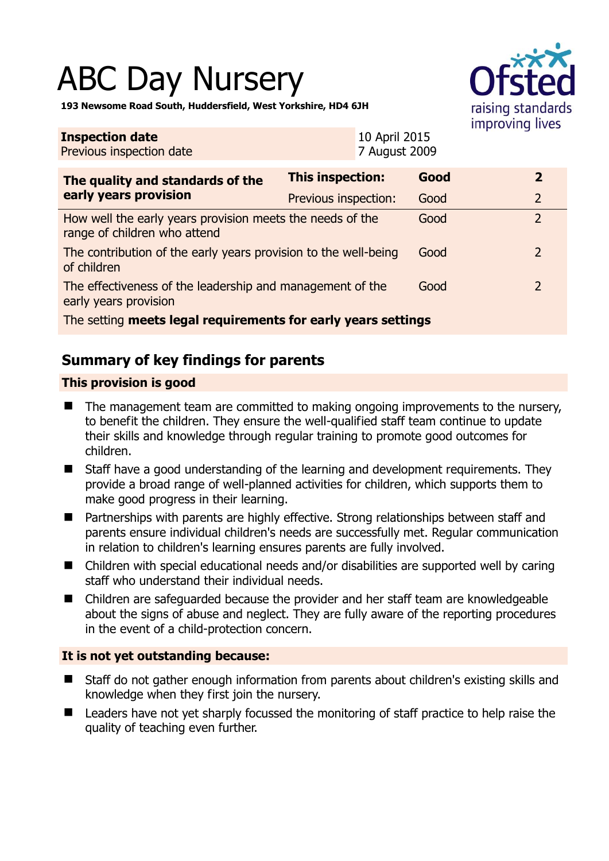# ABC Day Nursery



**193 Newsome Road South, Huddersfield, West Yorkshire, HD4 6JH** 

| <b>Inspection date</b><br>Previous inspection date                                        |                         | 10 April 2015<br>7 August 2009 |      |  |                |
|-------------------------------------------------------------------------------------------|-------------------------|--------------------------------|------|--|----------------|
| The quality and standards of the<br>early years provision                                 | <b>This inspection:</b> |                                | Good |  | $\overline{2}$ |
|                                                                                           | Previous inspection:    |                                | Good |  | $\overline{2}$ |
| How well the early years provision meets the needs of the<br>range of children who attend |                         |                                | Good |  | $\overline{2}$ |
| The contribution of the early years provision to the well-being<br>of children            |                         |                                | Good |  | 2              |
| The effectiveness of the leadership and management of the<br>early years provision        |                         |                                | Good |  | 2              |
| The setting meets legal requirements for early years settings                             |                         |                                |      |  |                |

# **Summary of key findings for parents**

## **This provision is good**

- The management team are committed to making ongoing improvements to the nursery, to benefit the children. They ensure the well-qualified staff team continue to update their skills and knowledge through regular training to promote good outcomes for children.
- Staff have a good understanding of the learning and development requirements. They provide a broad range of well-planned activities for children, which supports them to make good progress in their learning.
- Partnerships with parents are highly effective. Strong relationships between staff and parents ensure individual children's needs are successfully met. Regular communication in relation to children's learning ensures parents are fully involved.
- Children with special educational needs and/or disabilities are supported well by caring staff who understand their individual needs.
- Children are safeguarded because the provider and her staff team are knowledgeable about the signs of abuse and neglect. They are fully aware of the reporting procedures in the event of a child-protection concern.

## **It is not yet outstanding because:**

- Staff do not gather enough information from parents about children's existing skills and knowledge when they first join the nursery.
- Leaders have not yet sharply focussed the monitoring of staff practice to help raise the quality of teaching even further.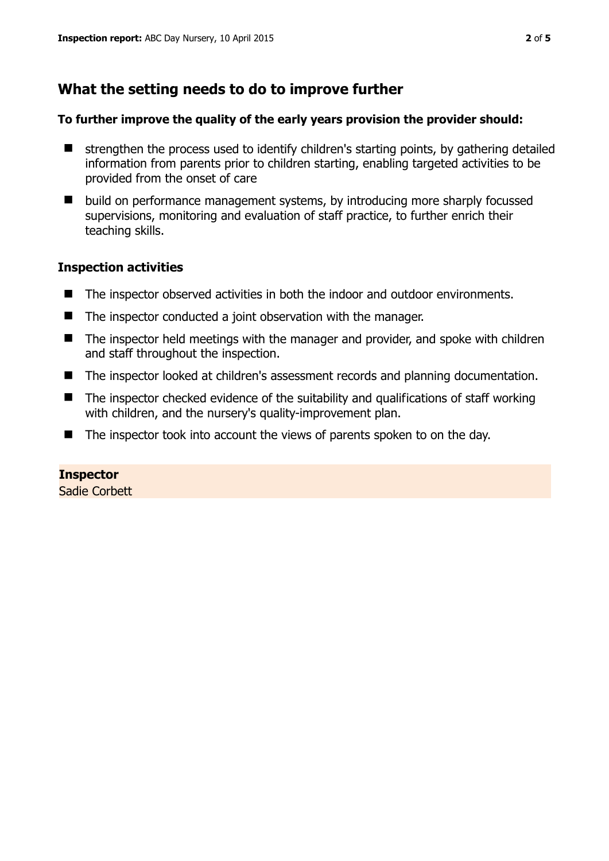# **What the setting needs to do to improve further**

#### **To further improve the quality of the early years provision the provider should:**

- $\blacksquare$  strengthen the process used to identify children's starting points, by gathering detailed information from parents prior to children starting, enabling targeted activities to be provided from the onset of care
- build on performance management systems, by introducing more sharply focussed supervisions, monitoring and evaluation of staff practice, to further enrich their teaching skills.

#### **Inspection activities**

- The inspector observed activities in both the indoor and outdoor environments.
- The inspector conducted a joint observation with the manager.
- The inspector held meetings with the manager and provider, and spoke with children and staff throughout the inspection.
- The inspector looked at children's assessment records and planning documentation.
- $\blacksquare$  The inspector checked evidence of the suitability and qualifications of staff working with children, and the nursery's quality-improvement plan.
- The inspector took into account the views of parents spoken to on the day.

## **Inspector**

Sadie Corbett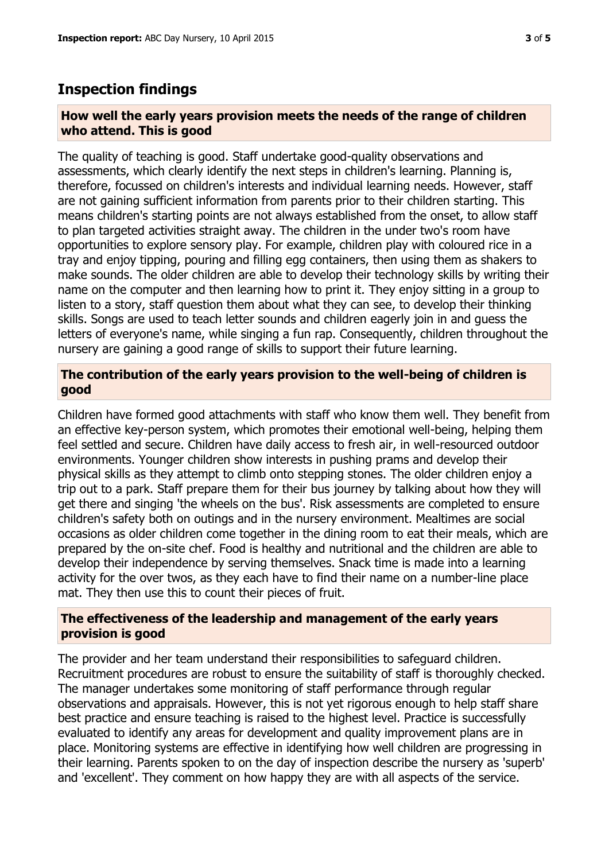## **Inspection findings**

#### **How well the early years provision meets the needs of the range of children who attend. This is good**

The quality of teaching is good. Staff undertake good-quality observations and assessments, which clearly identify the next steps in children's learning. Planning is, therefore, focussed on children's interests and individual learning needs. However, staff are not gaining sufficient information from parents prior to their children starting. This means children's starting points are not always established from the onset, to allow staff to plan targeted activities straight away. The children in the under two's room have opportunities to explore sensory play. For example, children play with coloured rice in a tray and enjoy tipping, pouring and filling egg containers, then using them as shakers to make sounds. The older children are able to develop their technology skills by writing their name on the computer and then learning how to print it. They enjoy sitting in a group to listen to a story, staff question them about what they can see, to develop their thinking skills. Songs are used to teach letter sounds and children eagerly join in and guess the letters of everyone's name, while singing a fun rap. Consequently, children throughout the nursery are gaining a good range of skills to support their future learning.

#### **The contribution of the early years provision to the well-being of children is good**

Children have formed good attachments with staff who know them well. They benefit from an effective key-person system, which promotes their emotional well-being, helping them feel settled and secure. Children have daily access to fresh air, in well-resourced outdoor environments. Younger children show interests in pushing prams and develop their physical skills as they attempt to climb onto stepping stones. The older children enjoy a trip out to a park. Staff prepare them for their bus journey by talking about how they will get there and singing 'the wheels on the bus'. Risk assessments are completed to ensure children's safety both on outings and in the nursery environment. Mealtimes are social occasions as older children come together in the dining room to eat their meals, which are prepared by the on-site chef. Food is healthy and nutritional and the children are able to develop their independence by serving themselves. Snack time is made into a learning activity for the over twos, as they each have to find their name on a number-line place mat. They then use this to count their pieces of fruit.

#### **The effectiveness of the leadership and management of the early years provision is good**

The provider and her team understand their responsibilities to safeguard children. Recruitment procedures are robust to ensure the suitability of staff is thoroughly checked. The manager undertakes some monitoring of staff performance through regular observations and appraisals. However, this is not yet rigorous enough to help staff share best practice and ensure teaching is raised to the highest level. Practice is successfully evaluated to identify any areas for development and quality improvement plans are in place. Monitoring systems are effective in identifying how well children are progressing in their learning. Parents spoken to on the day of inspection describe the nursery as 'superb' and 'excellent'. They comment on how happy they are with all aspects of the service.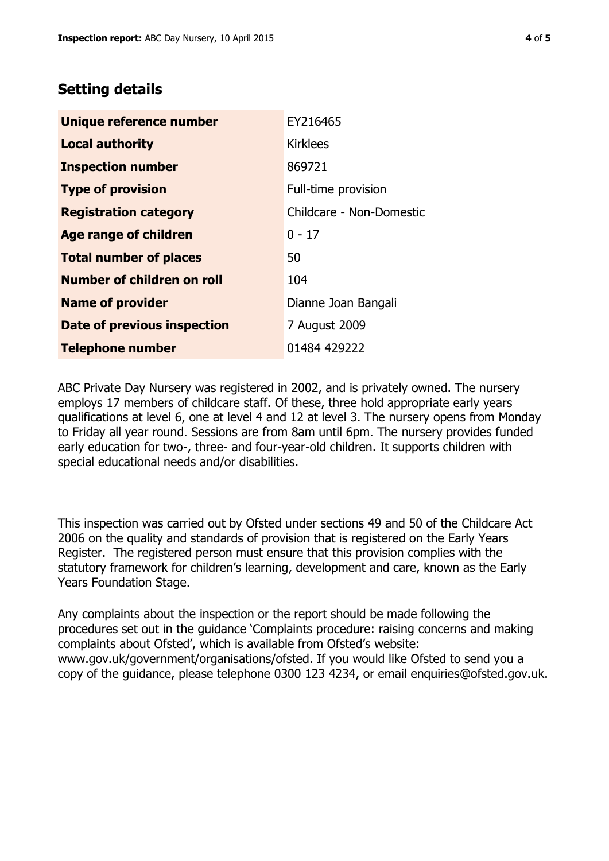# **Setting details**

| Unique reference number       | EY216465                 |  |  |
|-------------------------------|--------------------------|--|--|
| <b>Local authority</b>        | <b>Kirklees</b>          |  |  |
| <b>Inspection number</b>      | 869721                   |  |  |
| <b>Type of provision</b>      | Full-time provision      |  |  |
| <b>Registration category</b>  | Childcare - Non-Domestic |  |  |
| <b>Age range of children</b>  | $0 - 17$                 |  |  |
| <b>Total number of places</b> | 50                       |  |  |
| Number of children on roll    | 104                      |  |  |
| <b>Name of provider</b>       | Dianne Joan Bangali      |  |  |
| Date of previous inspection   | 7 August 2009            |  |  |
| <b>Telephone number</b>       | 01484 429222             |  |  |

ABC Private Day Nursery was registered in 2002, and is privately owned. The nursery employs 17 members of childcare staff. Of these, three hold appropriate early years qualifications at level 6, one at level 4 and 12 at level 3. The nursery opens from Monday to Friday all year round. Sessions are from 8am until 6pm. The nursery provides funded early education for two-, three- and four-year-old children. It supports children with special educational needs and/or disabilities.

This inspection was carried out by Ofsted under sections 49 and 50 of the Childcare Act 2006 on the quality and standards of provision that is registered on the Early Years Register. The registered person must ensure that this provision complies with the statutory framework for children's learning, development and care, known as the Early Years Foundation Stage.

Any complaints about the inspection or the report should be made following the procedures set out in the guidance 'Complaints procedure: raising concerns and making complaints about Ofsted', which is available from Ofsted's website: www.gov.uk/government/organisations/ofsted. If you would like Ofsted to send you a copy of the guidance, please telephone 0300 123 4234, or email enquiries@ofsted.gov.uk.